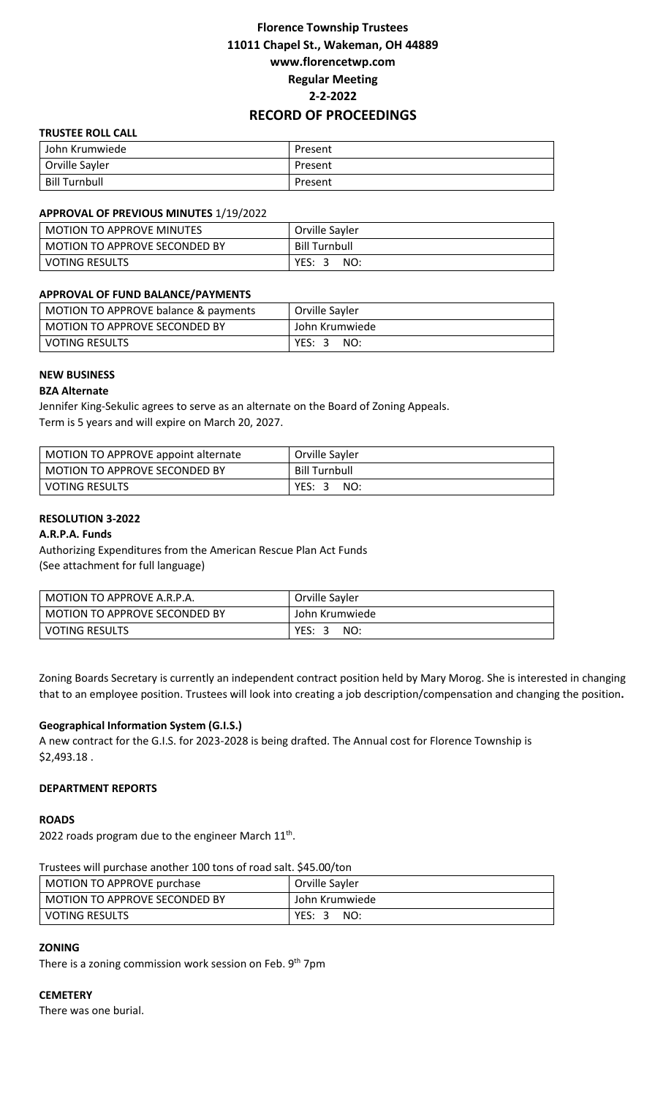# **Florence Township Trustees 11011 Chapel St., Wakeman, OH 44889 www.florencetwp.com Regular Meeting 2-2-2022 RECORD OF PROCEEDINGS**

## **TRUSTEE ROLL CALL**

| John Krumwiede | Present |
|----------------|---------|
| Orville Sayler | Present |
| Bill Turnbull  | Present |

#### **APPROVAL OF PREVIOUS MINUTES** 1/19/2022

| <b>MOTION TO APPROVE MINUTES</b> | Orville Sayler       |  |
|----------------------------------|----------------------|--|
| MOTION TO APPROVE SECONDED BY    | <b>Bill Turnbull</b> |  |
| <b>VOTING RESULTS</b>            | YES:<br>NO:<br>- 31  |  |

### **APPROVAL OF FUND BALANCE/PAYMENTS**

| MOTION TO APPROVE balance & payments | Orville Sayler |
|--------------------------------------|----------------|
| l MOTION TO APPROVE SECONDED BY .    | John Krumwiede |
| l voting results                     | YES: 3<br>NO:  |

#### **NEW BUSINESS**

#### **BZA Alternate**

Jennifer King-Sekulic agrees to serve as an alternate on the Board of Zoning Appeals. Term is 5 years and will expire on March 20, 2027.

| MOTION TO APPROVE appoint alternate | Orville Sayler       |
|-------------------------------------|----------------------|
| MOTION TO APPROVE SECONDED BY       | <b>Bill Turnbull</b> |
| <b>VOTING RESULTS</b>               | YES:3<br>NO:         |

#### **RESOLUTION 3-2022**

#### **A.R.P.A. Funds**

Authorizing Expenditures from the American Rescue Plan Act Funds (See attachment for full language)

| MOTION TO APPROVE A.R.P.A.    | Orville Sayler |  |
|-------------------------------|----------------|--|
| MOTION TO APPROVE SECONDED BY | John Krumwiede |  |
| <b>VOTING RESULTS</b>         | YES: 3<br>NO:  |  |

Zoning Boards Secretary is currently an independent contract position held by Mary Morog. She is interested in changing that to an employee position. Trustees will look into creating a job description/compensation and changing the position**.** 

#### **Geographical Information System (G.I.S.)**

A new contract for the G.I.S. for 2023-2028 is being drafted. The Annual cost for Florence Township is \$2,493.18 .

#### **DEPARTMENT REPORTS**

#### **ROADS**

2022 roads program due to the engineer March  $11<sup>th</sup>$ .

Trustees will purchase another 100 tons of road salt. \$45.00/ton

| MOTION TO APPROVE purchase    | Orville Sayler |
|-------------------------------|----------------|
| MOTION TO APPROVE SECONDED BY | John Krumwiede |
| I VOTING RESULTS              | YES: 3<br>NO:  |

## **ZONING**

There is a zoning commission work session on Feb. 9<sup>th</sup> 7pm

#### **CEMETERY**

There was one burial.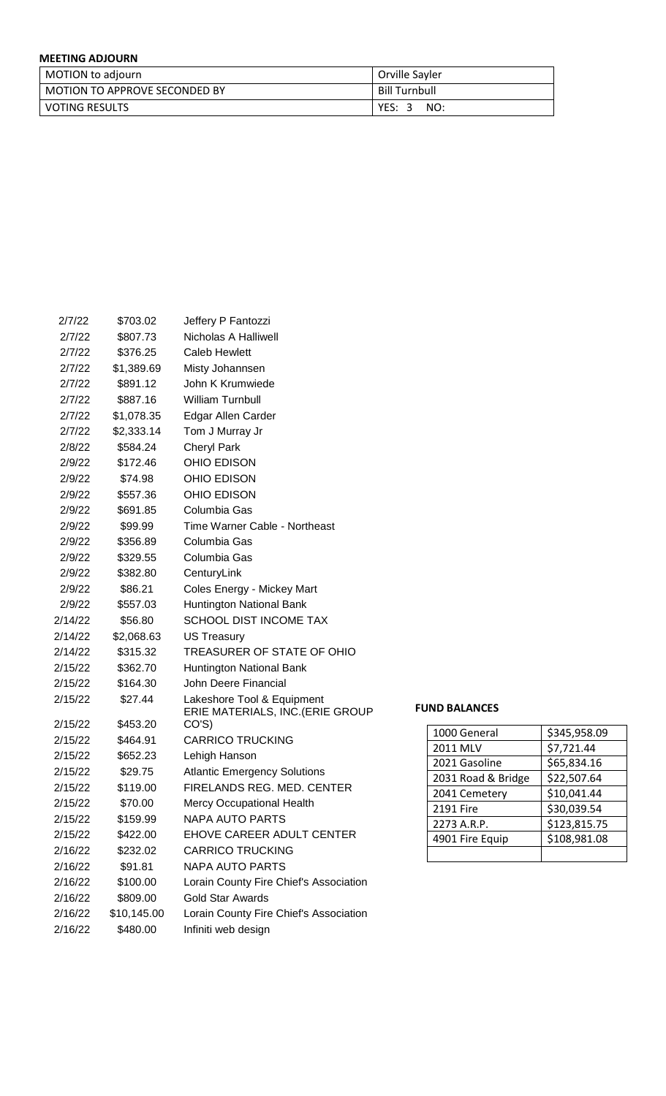# **MEETING ADJOURN**

| MOTION to adjourn               | Orville Sayler       |
|---------------------------------|----------------------|
| l MOTION TO APPROVE SECONDED BY | <b>Bill Turnbull</b> |
| l voting results                | YES: 3<br>NO:        |

| 2/7/22  | \$703.02    | Jeffery P Fantozzi                                             |                      |
|---------|-------------|----------------------------------------------------------------|----------------------|
| 2/7/22  | \$807.73    | Nicholas A Halliwell                                           |                      |
| 2/7/22  | \$376.25    | Caleb Hewlett                                                  |                      |
| 2/7/22  | \$1,389.69  | Misty Johannsen                                                |                      |
| 2/7/22  | \$891.12    | John K Krumwiede                                               |                      |
| 2/7/22  | \$887.16    | <b>William Turnbull</b>                                        |                      |
| 2/7/22  | \$1,078.35  | Edgar Allen Carder                                             |                      |
| 2/7/22  | \$2,333.14  | Tom J Murray Jr                                                |                      |
| 2/8/22  | \$584.24    | <b>Cheryl Park</b>                                             |                      |
| 2/9/22  | \$172.46    | OHIO EDISON                                                    |                      |
| 2/9/22  | \$74.98     | OHIO EDISON                                                    |                      |
| 2/9/22  | \$557.36    | OHIO EDISON                                                    |                      |
| 2/9/22  | \$691.85    | Columbia Gas                                                   |                      |
| 2/9/22  | \$99.99     | Time Warner Cable - Northeast                                  |                      |
| 2/9/22  | \$356.89    | Columbia Gas                                                   |                      |
| 2/9/22  | \$329.55    | Columbia Gas                                                   |                      |
| 2/9/22  | \$382.80    | CenturyLink                                                    |                      |
| 2/9/22  | \$86.21     | Coles Energy - Mickey Mart                                     |                      |
| 2/9/22  | \$557.03    | Huntington National Bank                                       |                      |
| 2/14/22 | \$56.80     | <b>SCHOOL DIST INCOME TAX</b>                                  |                      |
| 2/14/22 | \$2,068.63  | <b>US Treasury</b>                                             |                      |
| 2/14/22 | \$315.32    | TREASURER OF STATE OF OHIO                                     |                      |
| 2/15/22 | \$362.70    | Huntington National Bank                                       |                      |
| 2/15/22 | \$164.30    | John Deere Financial                                           |                      |
| 2/15/22 | \$27.44     | Lakeshore Tool & Equipment<br>ERIE MATERIALS, INC. (ERIE GROUP | <b>FUND BALANCES</b> |
| 2/15/22 | \$453.20    | CO'S)                                                          | 1000 General         |
| 2/15/22 | \$464.91    | <b>CARRICO TRUCKING</b>                                        | 2011 MLV             |
| 2/15/22 | \$652.23    | Lehigh Hanson                                                  | 2021 Gasoline        |
| 2/15/22 | \$29.75     | <b>Atlantic Emergency Solutions</b>                            | 2031 Road &          |
| 2/15/22 | \$119.00    | FIRELANDS REG. MED. CENTER                                     | 2041 Cemete          |
| 2/15/22 | \$70.00     | <b>Mercy Occupational Health</b>                               | 2191 Fire            |
| 2/15/22 | \$159.99    | <b>NAPA AUTO PARTS</b>                                         | 2273 A.R.P.          |
| 2/15/22 | \$422.00    | EHOVE CAREER ADULT CENTER                                      | 4901 Fire Equ        |
| 2/16/22 | \$232.02    | <b>CARRICO TRUCKING</b>                                        |                      |
| 2/16/22 | \$91.81     | <b>NAPA AUTO PARTS</b>                                         |                      |
| 2/16/22 | \$100.00    | Lorain County Fire Chief's Association                         |                      |
| 2/16/22 | \$809.00    | <b>Gold Star Awards</b>                                        |                      |
| 2/16/22 | \$10,145.00 | Lorain County Fire Chief's Association                         |                      |
| 2/16/22 | \$480.00    | Infiniti web design                                            |                      |

| 1000 General       | \$345,958.09 |
|--------------------|--------------|
| 2011 MLV           | \$7,721.44   |
| 2021 Gasoline      | \$65,834.16  |
| 2031 Road & Bridge | \$22,507.64  |
| 2041 Cemetery      | \$10,041.44  |
| 2191 Fire          | \$30,039.54  |
| 2273 A.R.P.        | \$123,815.75 |
| 4901 Fire Equip    | \$108,981.08 |
|                    |              |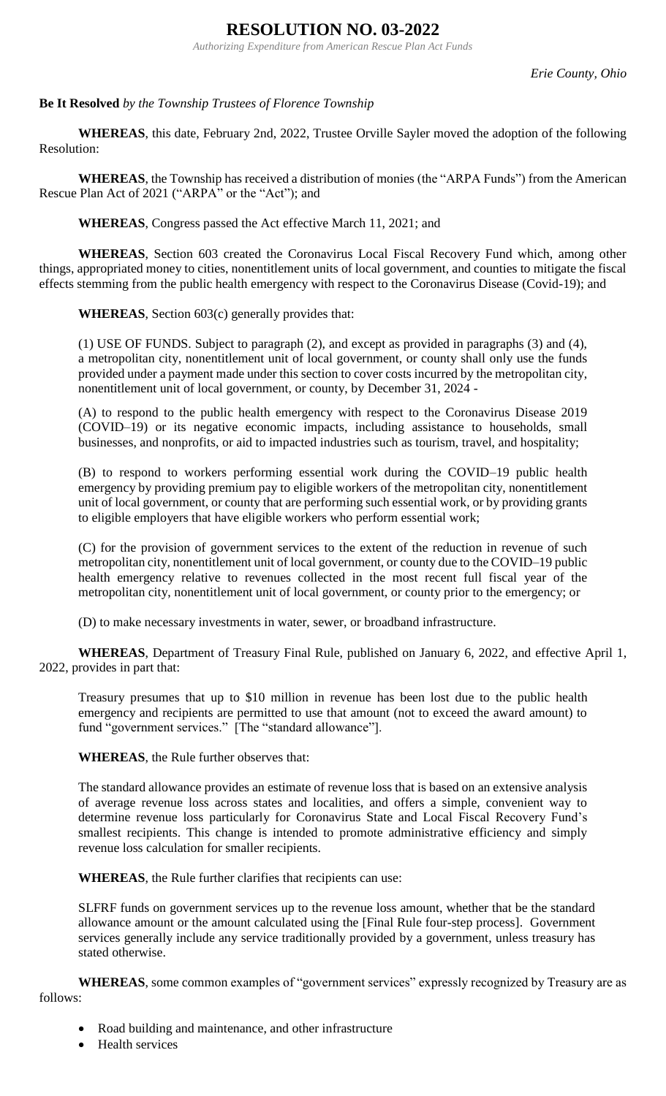# **RESOLUTION NO. 03-2022**

*Authorizing Expenditure from American Rescue Plan Act Funds*

*Erie County, Ohio*

# **Be It Resolved** *by the Township Trustees of Florence Township*

**WHEREAS**, this date, February 2nd, 2022, Trustee Orville Sayler moved the adoption of the following Resolution:

**WHEREAS**, the Township has received a distribution of monies (the "ARPA Funds") from the American Rescue Plan Act of 2021 ("ARPA" or the "Act"); and

**WHEREAS**, Congress passed the Act effective March 11, 2021; and

**WHEREAS**, Section 603 created the Coronavirus Local Fiscal Recovery Fund which, among other things, appropriated money to cities, nonentitlement units of local government, and counties to mitigate the fiscal effects stemming from the public health emergency with respect to the Coronavirus Disease (Covid-19); and

**WHEREAS**, Section 603(c) generally provides that:

(1) USE OF FUNDS. Subject to paragraph (2), and except as provided in paragraphs (3) and (4), a metropolitan city, nonentitlement unit of local government, or county shall only use the funds provided under a payment made under this section to cover costs incurred by the metropolitan city, nonentitlement unit of local government, or county, by December 31, 2024 -

(A) to respond to the public health emergency with respect to the Coronavirus Disease 2019 (COVID–19) or its negative economic impacts, including assistance to households, small businesses, and nonprofits, or aid to impacted industries such as tourism, travel, and hospitality;

(B) to respond to workers performing essential work during the COVID–19 public health emergency by providing premium pay to eligible workers of the metropolitan city, nonentitlement unit of local government, or county that are performing such essential work, or by providing grants to eligible employers that have eligible workers who perform essential work;

(C) for the provision of government services to the extent of the reduction in revenue of such metropolitan city, nonentitlement unit of local government, or county due to the COVID–19 public health emergency relative to revenues collected in the most recent full fiscal year of the metropolitan city, nonentitlement unit of local government, or county prior to the emergency; or

(D) to make necessary investments in water, sewer, or broadband infrastructure.

**WHEREAS**, Department of Treasury Final Rule, published on January 6, 2022, and effective April 1, 2022, provides in part that:

Treasury presumes that up to \$10 million in revenue has been lost due to the public health emergency and recipients are permitted to use that amount (not to exceed the award amount) to fund "government services." [The "standard allowance"].

**WHEREAS**, the Rule further observes that:

The standard allowance provides an estimate of revenue loss that is based on an extensive analysis of average revenue loss across states and localities, and offers a simple, convenient way to determine revenue loss particularly for Coronavirus State and Local Fiscal Recovery Fund's smallest recipients. This change is intended to promote administrative efficiency and simply revenue loss calculation for smaller recipients.

**WHEREAS**, the Rule further clarifies that recipients can use:

SLFRF funds on government services up to the revenue loss amount, whether that be the standard allowance amount or the amount calculated using the [Final Rule four-step process]. Government services generally include any service traditionally provided by a government, unless treasury has stated otherwise.

**WHEREAS**, some common examples of "government services" expressly recognized by Treasury are as follows:

- Road building and maintenance, and other infrastructure
- Health services